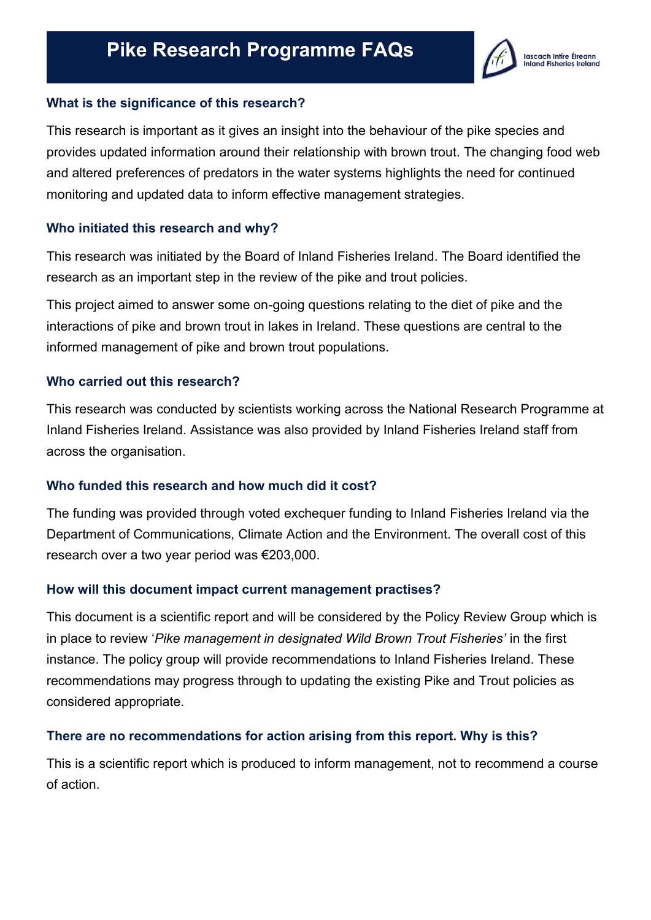

## **What is the significance of this research?**

This research is important as it gives an insight into the behaviour of the pike species and provides updated information around their relationship with brown trout. The changing food web and altered preferences of predators in the water systems highlights the need for continued monitoring and updated data to inform effective management strategies.

### **Who initiated this research and why?**

This research was initiated by the Board of Inland Fisheries Ireland. The Board identified the research as an important step in the review of the pike and trout policies.

This project aimed to answer some on-going questions relating to the diet of pike and the interactions of pike and brown trout in lakes in Ireland. These questions are central to the informed management of pike and brown trout populations.

### **Who carried out this research?**

This research was conducted by scientists working across the National Research Programme at Inland Fisheries Ireland. Assistance was also provided by Inland Fisheries Ireland staff from across the organisation.

## **Who funded this research and how much did it cost?**

The funding was provided through voted exchequer funding to Inland Fisheries Ireland via the Department of Communications, Climate Action and the Environment. The overall cost of this research over a two year period was €203,000.

#### **How will this document impact current management practises?**

This document is a scientific report and will be considered by the Policy Review Group which is in place to review '*Pike management in designated Wild Brown Trout Fisheries'* in the first instance. The policy group will provide recommendations to Inland Fisheries Ireland. These recommendations may progress through to updating the existing Pike and Trout policies as considered appropriate.

#### **There are no recommendations for action arising from this report. Why is this?**

This is a scientific report which is produced to inform management, not to recommend a course of action.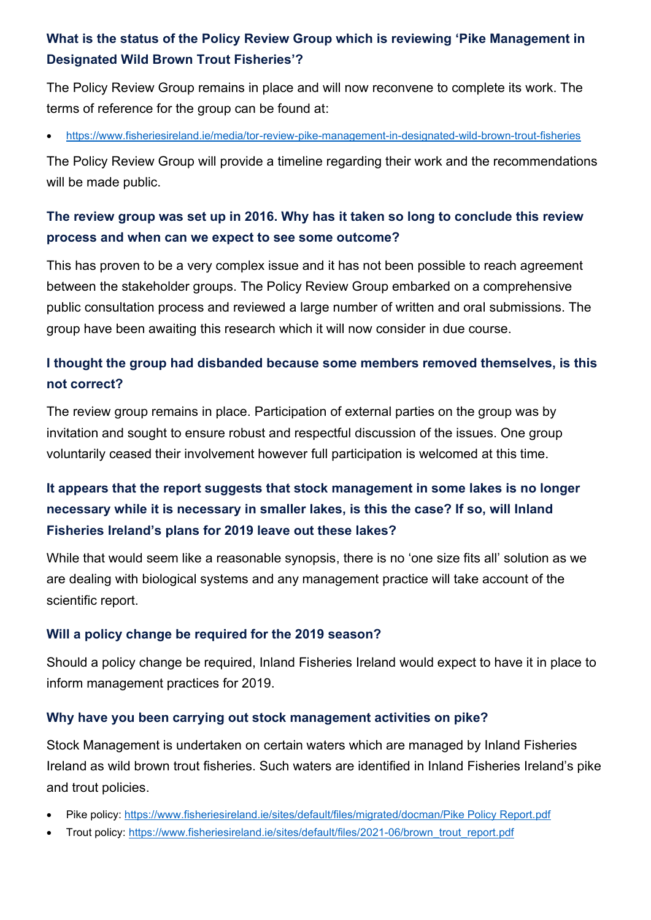# **What is the status of the Policy Review Group which is reviewing 'Pike Management in Designated Wild Brown Trout Fisheries'?**

The Policy Review Group remains in place and will now reconvene to complete its work. The terms of reference for the group can be found at:

• <https://www.fisheriesireland.ie/media/tor-review-pike-management-in-designated-wild-brown-trout-fisheries>

The Policy Review Group will provide a timeline regarding their work and the recommendations will be made public.

# **The review group was set up in 2016. Why has it taken so long to conclude this review process and when can we expect to see some outcome?**

This has proven to be a very complex issue and it has not been possible to reach agreement between the stakeholder groups. The Policy Review Group embarked on a comprehensive public consultation process and reviewed a large number of written and oral submissions. The group have been awaiting this research which it will now consider in due course.

# **I thought the group had disbanded because some members removed themselves, is this not correct?**

The review group remains in place. Participation of external parties on the group was by invitation and sought to ensure robust and respectful discussion of the issues. One group voluntarily ceased their involvement however full participation is welcomed at this time.

# **It appears that the report suggests that stock management in some lakes is no longer necessary while it is necessary in smaller lakes, is this the case? If so, will Inland Fisheries Ireland's plans for 2019 leave out these lakes?**

While that would seem like a reasonable synopsis, there is no 'one size fits all' solution as we are dealing with biological systems and any management practice will take account of the scientific report.

# **Will a policy change be required for the 2019 season?**

Should a policy change be required, Inland Fisheries Ireland would expect to have it in place to inform management practices for 2019.

## **Why have you been carrying out stock management activities on pike?**

Stock Management is undertaken on certain waters which are managed by Inland Fisheries Ireland as wild brown trout fisheries. Such waters are identified in Inland Fisheries Ireland's pike and trout policies.

- Pike policy: [https://www.fisheriesireland.ie/sites/default/files/migrated/docman/Pike Policy Report.pdf](https://www.fisheriesireland.ie/sites/default/files/migrated/docman/Pike%20Policy%20Report.pdf)
- Trout policy: [https://www.fisheriesireland.ie/sites/default/files/2021-06/brown\\_trout\\_report.pdf](https://www.fisheriesireland.ie/sites/default/files/2021-06/brown_trout_report.pdf)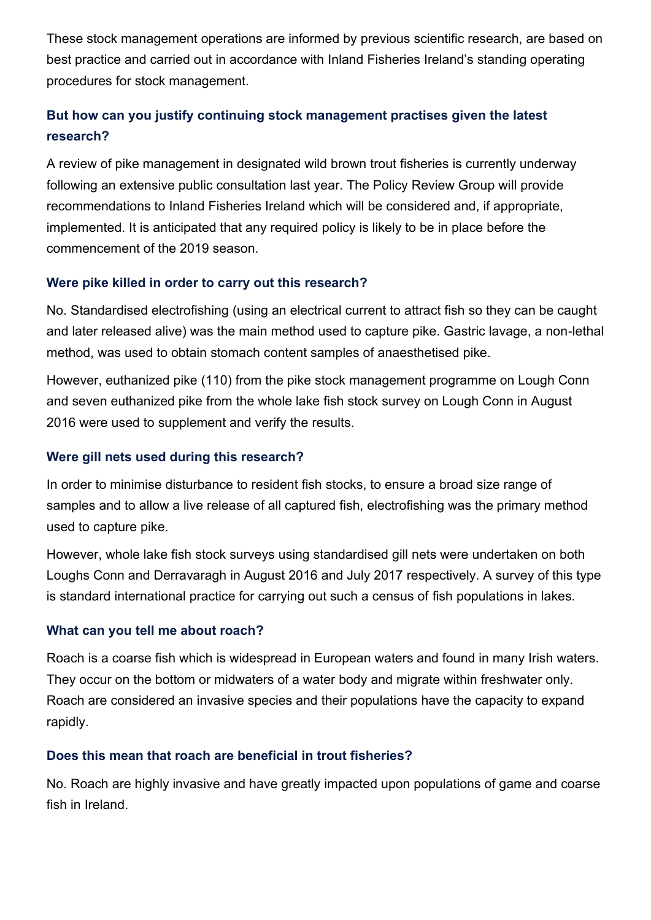These stock management operations are informed by previous scientific research, are based on best practice and carried out in accordance with Inland Fisheries Ireland's standing operating procedures for stock management.

# **But how can you justify continuing stock management practises given the latest research?**

A review of pike management in designated wild brown trout fisheries is currently underway following an extensive public consultation last year. The Policy Review Group will provide recommendations to Inland Fisheries Ireland which will be considered and, if appropriate, implemented. It is anticipated that any required policy is likely to be in place before the commencement of the 2019 season.

## **Were pike killed in order to carry out this research?**

No. Standardised electrofishing (using an electrical current to attract fish so they can be caught and later released alive) was the main method used to capture pike. Gastric lavage, a non-lethal method, was used to obtain stomach content samples of anaesthetised pike.

However, euthanized pike (110) from the pike stock management programme on Lough Conn and seven euthanized pike from the whole lake fish stock survey on Lough Conn in August 2016 were used to supplement and verify the results.

# **Were gill nets used during this research?**

In order to minimise disturbance to resident fish stocks, to ensure a broad size range of samples and to allow a live release of all captured fish, electrofishing was the primary method used to capture pike.

However, whole lake fish stock surveys using standardised gill nets were undertaken on both Loughs Conn and Derravaragh in August 2016 and July 2017 respectively. A survey of this type is standard international practice for carrying out such a census of fish populations in lakes.

# **What can you tell me about roach?**

Roach is a coarse fish which is widespread in European waters and found in many Irish waters. They occur on the bottom or midwaters of a water body and migrate within freshwater only. Roach are considered an invasive species and their populations have the capacity to expand rapidly.

# **Does this mean that roach are beneficial in trout fisheries?**

No. Roach are highly invasive and have greatly impacted upon populations of game and coarse fish in Ireland.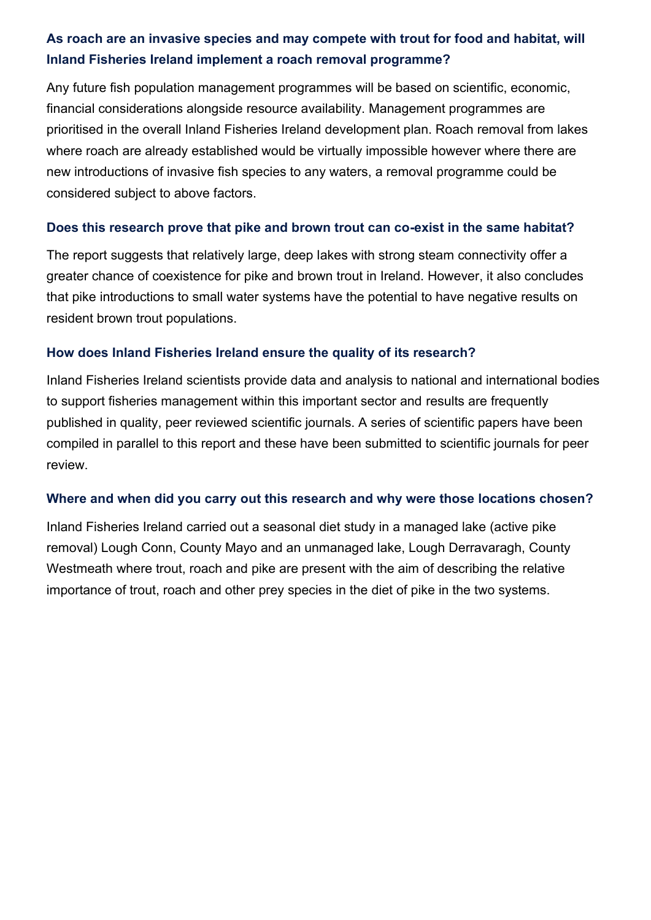# **As roach are an invasive species and may compete with trout for food and habitat, will Inland Fisheries Ireland implement a roach removal programme?**

Any future fish population management programmes will be based on scientific, economic, financial considerations alongside resource availability. Management programmes are prioritised in the overall Inland Fisheries Ireland development plan. Roach removal from lakes where roach are already established would be virtually impossible however where there are new introductions of invasive fish species to any waters, a removal programme could be considered subject to above factors.

### **Does this research prove that pike and brown trout can co-exist in the same habitat?**

The report suggests that relatively large, deep lakes with strong steam connectivity offer a greater chance of coexistence for pike and brown trout in Ireland. However, it also concludes that pike introductions to small water systems have the potential to have negative results on resident brown trout populations.

### **How does Inland Fisheries Ireland ensure the quality of its research?**

Inland Fisheries Ireland scientists provide data and analysis to national and international bodies to support fisheries management within this important sector and results are frequently published in quality, peer reviewed scientific journals. A series of scientific papers have been compiled in parallel to this report and these have been submitted to scientific journals for peer review.

#### **Where and when did you carry out this research and why were those locations chosen?**

Inland Fisheries Ireland carried out a seasonal diet study in a managed lake (active pike removal) Lough Conn, County Mayo and an unmanaged lake, Lough Derravaragh, County Westmeath where trout, roach and pike are present with the aim of describing the relative importance of trout, roach and other prey species in the diet of pike in the two systems.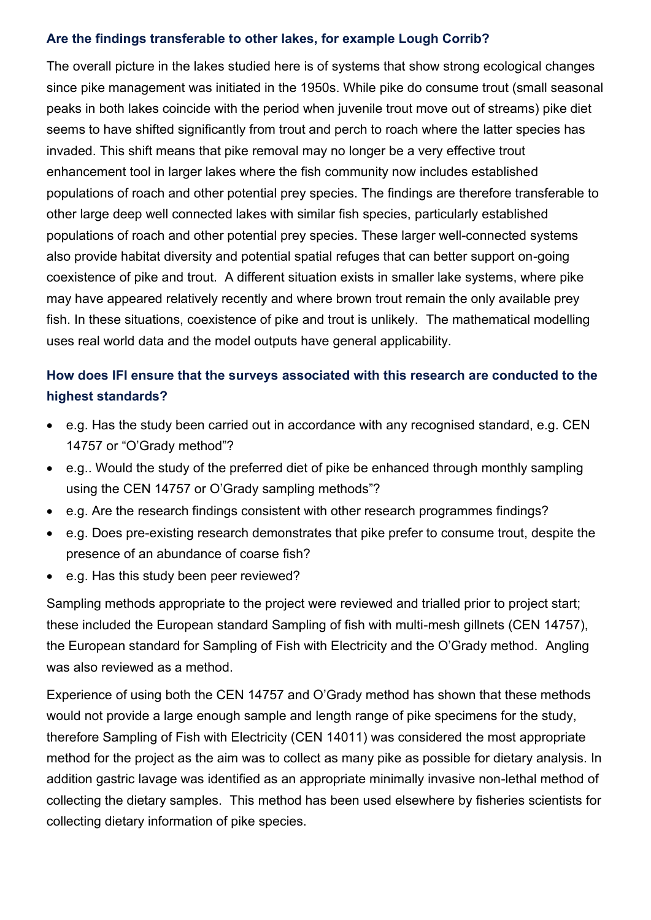### **Are the findings transferable to other lakes, for example Lough Corrib?**

The overall picture in the lakes studied here is of systems that show strong ecological changes since pike management was initiated in the 1950s. While pike do consume trout (small seasonal peaks in both lakes coincide with the period when juvenile trout move out of streams) pike diet seems to have shifted significantly from trout and perch to roach where the latter species has invaded. This shift means that pike removal may no longer be a very effective trout enhancement tool in larger lakes where the fish community now includes established populations of roach and other potential prey species. The findings are therefore transferable to other large deep well connected lakes with similar fish species, particularly established populations of roach and other potential prey species. These larger well-connected systems also provide habitat diversity and potential spatial refuges that can better support on-going coexistence of pike and trout. A different situation exists in smaller lake systems, where pike may have appeared relatively recently and where brown trout remain the only available prey fish. In these situations, coexistence of pike and trout is unlikely. The mathematical modelling uses real world data and the model outputs have general applicability.

# **How does IFI ensure that the surveys associated with this research are conducted to the highest standards?**

- e.g. Has the study been carried out in accordance with any recognised standard, e.g. CEN 14757 or "O'Grady method"?
- e.g.. Would the study of the preferred diet of pike be enhanced through monthly sampling using the CEN 14757 or O'Grady sampling methods"?
- e.g. Are the research findings consistent with other research programmes findings?
- e.g. Does pre-existing research demonstrates that pike prefer to consume trout, despite the presence of an abundance of coarse fish?
- e.g. Has this study been peer reviewed?

Sampling methods appropriate to the project were reviewed and trialled prior to project start; these included the European standard Sampling of fish with multi-mesh gillnets (CEN 14757), the European standard for Sampling of Fish with Electricity and the O'Grady method. Angling was also reviewed as a method.

Experience of using both the CEN 14757 and O'Grady method has shown that these methods would not provide a large enough sample and length range of pike specimens for the study, therefore Sampling of Fish with Electricity (CEN 14011) was considered the most appropriate method for the project as the aim was to collect as many pike as possible for dietary analysis. In addition gastric lavage was identified as an appropriate minimally invasive non-lethal method of collecting the dietary samples. This method has been used elsewhere by fisheries scientists for collecting dietary information of pike species.